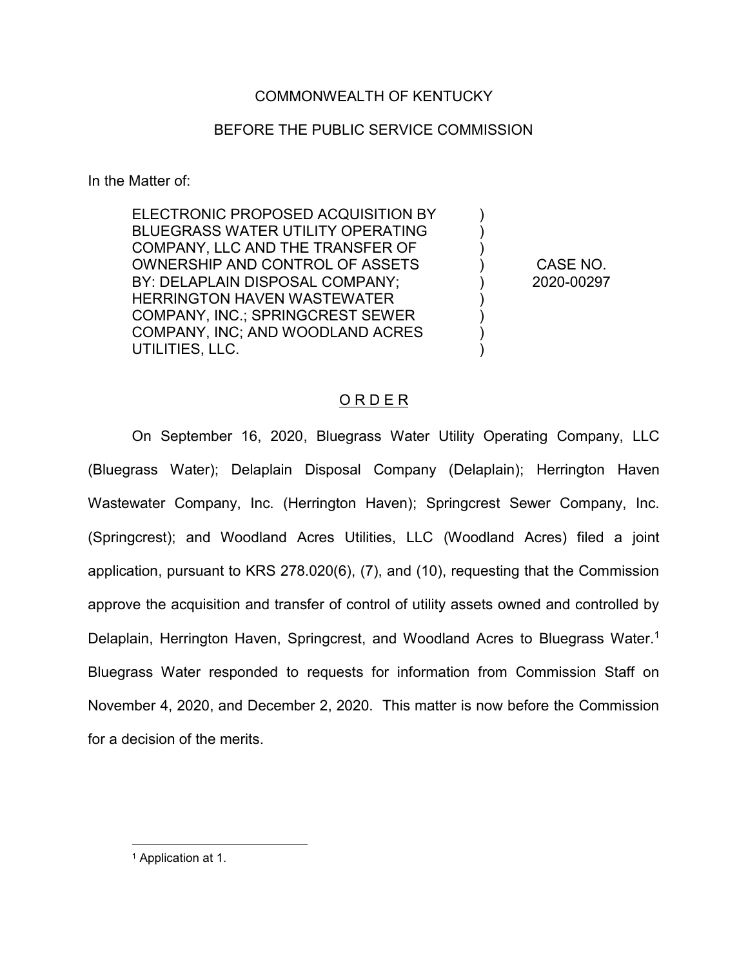# COMMONWEALTH OF KENTUCKY

# BEFORE THE PUBLIC SERVICE COMMISSION

In the Matter of:

ELECTRONIC PROPOSED ACQUISITION BY BLUEGRASS WATER UTILITY OPERATING COMPANY, LLC AND THE TRANSFER OF OWNERSHIP AND CONTROL OF ASSETS BY: DELAPLAIN DISPOSAL COMPANY; HERRINGTON HAVEN WASTEWATER COMPANY, INC.; SPRINGCREST SEWER COMPANY, INC; AND WOODLAND ACRES UTILITIES, LLC.

CASE NO. 2020-00297

)  $\lambda$ ) ) ) ) ) ) )

## O R D E R

On September 16, 2020, Bluegrass Water Utility Operating Company, LLC (Bluegrass Water); Delaplain Disposal Company (Delaplain); Herrington Haven Wastewater Company, Inc. (Herrington Haven); Springcrest Sewer Company, Inc. (Springcrest); and Woodland Acres Utilities, LLC (Woodland Acres) filed a joint application, pursuant to KRS 278.020(6), (7), and (10), requesting that the Commission approve the acquisition and transfer of control of utility assets owned and controlled by Delaplain, Herrington Haven, Springcrest, and Woodland Acres to Bluegrass Water.<sup>1</sup> Bluegrass Water responded to requests for information from Commission Staff on November 4, 2020, and December 2, 2020. This matter is now before the Commission for a decision of the merits.

1 Application at 1.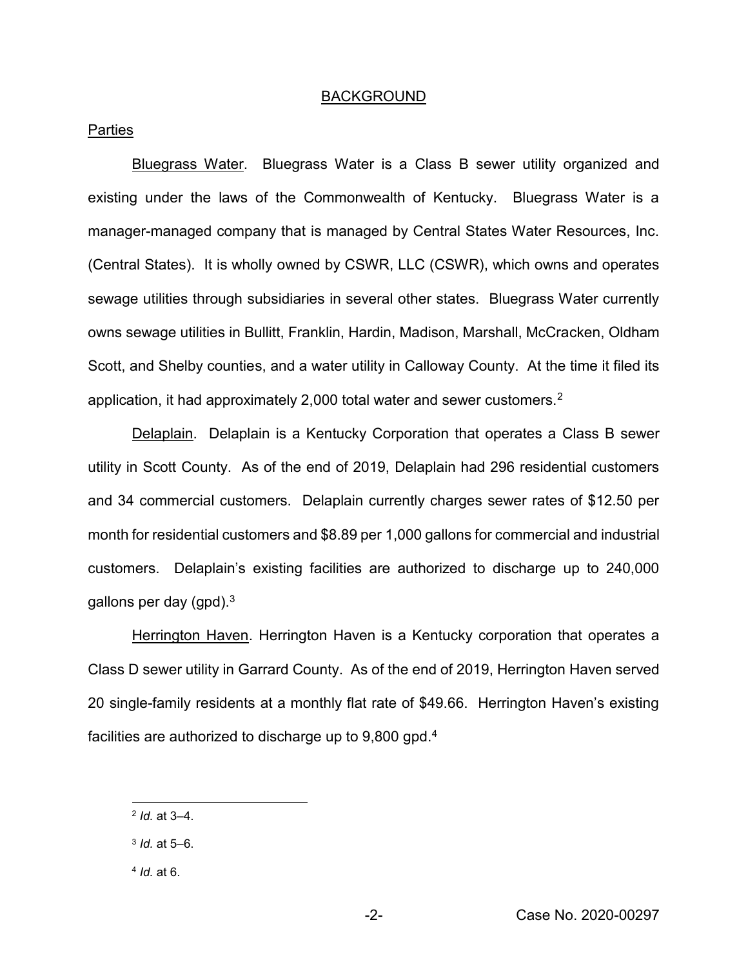#### BACKGROUND

### **Parties**

Bluegrass Water. Bluegrass Water is a Class B sewer utility organized and existing under the laws of the Commonwealth of Kentucky. Bluegrass Water is a manager-managed company that is managed by Central States Water Resources, Inc. (Central States). It is wholly owned by CSWR, LLC (CSWR), which owns and operates sewage utilities through subsidiaries in several other states. Bluegrass Water currently owns sewage utilities in Bullitt, Franklin, Hardin, Madison, Marshall, McCracken, Oldham Scott, and Shelby counties, and a water utility in Calloway County. At the time it filed its application, it had approximately 2,000 total water and sewer customers.2

Delaplain. Delaplain is a Kentucky Corporation that operates a Class B sewer utility in Scott County. As of the end of 2019, Delaplain had 296 residential customers and 34 commercial customers. Delaplain currently charges sewer rates of \$12.50 per month for residential customers and \$8.89 per 1,000 gallons for commercial and industrial customers. Delaplain's existing facilities are authorized to discharge up to 240,000 gallons per day  $(gpd)^3$ .

Herrington Haven. Herrington Haven is a Kentucky corporation that operates a Class D sewer utility in Garrard County. As of the end of 2019, Herrington Haven served 20 single-family residents at a monthly flat rate of \$49.66. Herrington Haven's existing facilities are authorized to discharge up to 9,800 gpd.4

 <sup>2</sup> *Id.* at 3–4.

<sup>3</sup> *Id.* at 5–6.

<sup>4</sup> *Id.* at 6.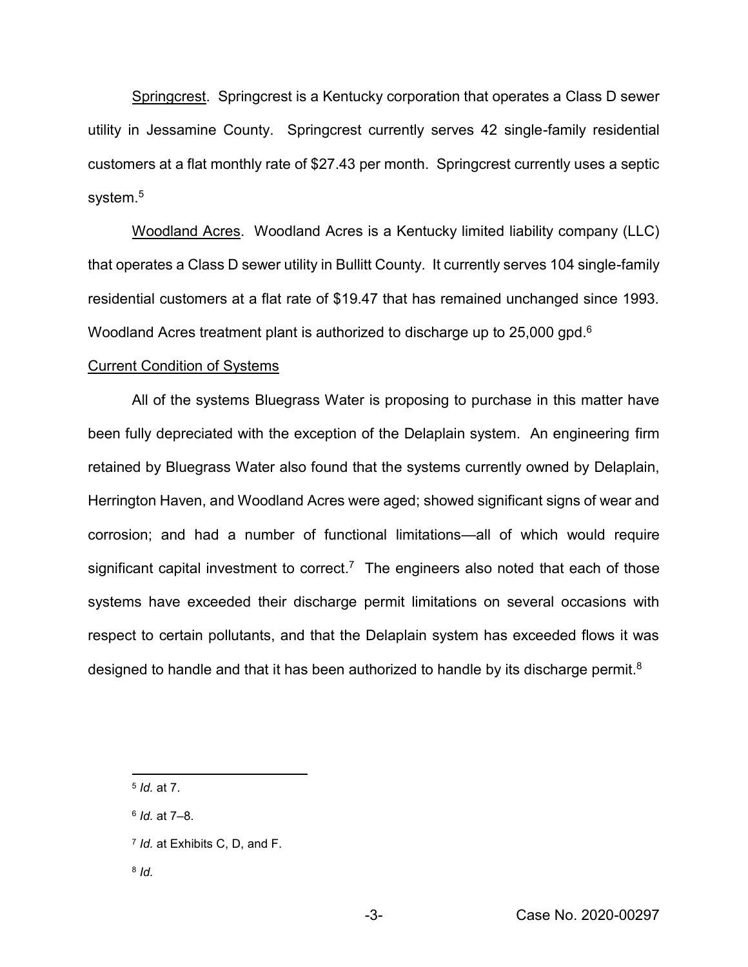Springcrest. Springcrest is a Kentucky corporation that operates a Class D sewer utility in Jessamine County. Springcrest currently serves 42 single-family residential customers at a flat monthly rate of \$27.43 per month. Springcrest currently uses a septic system.<sup>5</sup>

Woodland Acres. Woodland Acres is a Kentucky limited liability company (LLC) that operates a Class D sewer utility in Bullitt County. It currently serves 104 single-family residential customers at a flat rate of \$19.47 that has remained unchanged since 1993. Woodland Acres treatment plant is authorized to discharge up to 25,000 gpd.6

#### Current Condition of Systems

All of the systems Bluegrass Water is proposing to purchase in this matter have been fully depreciated with the exception of the Delaplain system. An engineering firm retained by Bluegrass Water also found that the systems currently owned by Delaplain, Herrington Haven, and Woodland Acres were aged; showed significant signs of wear and corrosion; and had a number of functional limitations—all of which would require significant capital investment to correct.<sup>7</sup> The engineers also noted that each of those systems have exceeded their discharge permit limitations on several occasions with respect to certain pollutants, and that the Delaplain system has exceeded flows it was designed to handle and that it has been authorized to handle by its discharge permit. $8$ 

- <sup>6</sup> *Id.* at 7–8.
- <sup>7</sup> *Id.* at Exhibits C, D, and F.
- <sup>8</sup> *Id.*

 <sup>5</sup> *Id.* at 7.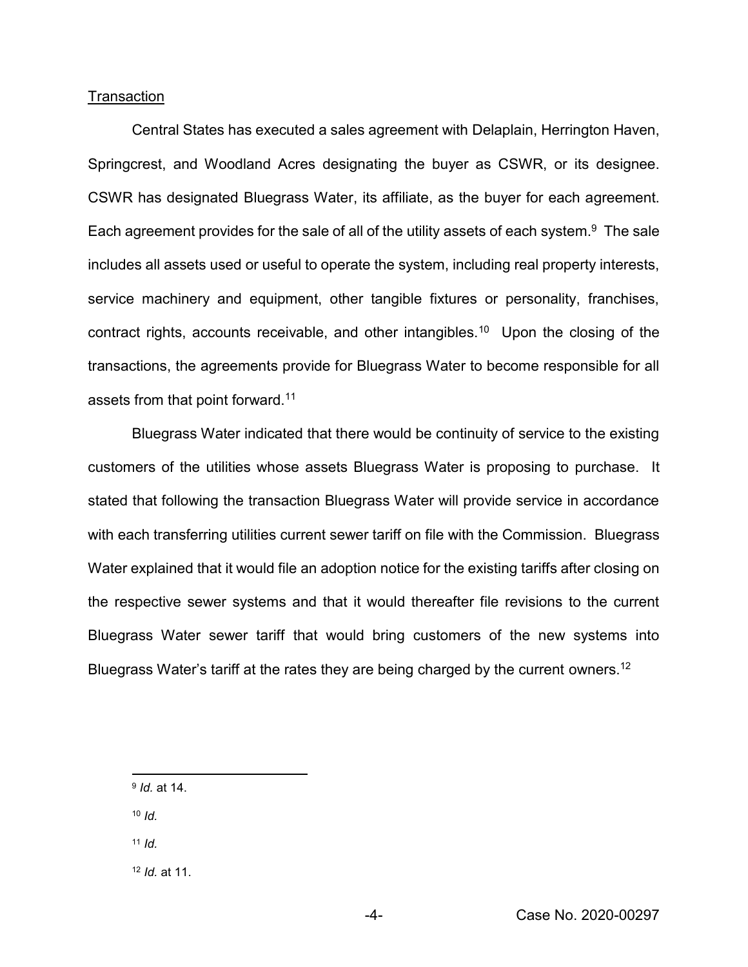## **Transaction**

Central States has executed a sales agreement with Delaplain, Herrington Haven, Springcrest, and Woodland Acres designating the buyer as CSWR, or its designee. CSWR has designated Bluegrass Water, its affiliate, as the buyer for each agreement. Each agreement provides for the sale of all of the utility assets of each system.<sup>9</sup> The sale includes all assets used or useful to operate the system, including real property interests, service machinery and equipment, other tangible fixtures or personality, franchises, contract rights, accounts receivable, and other intangibles.<sup>10</sup> Upon the closing of the transactions, the agreements provide for Bluegrass Water to become responsible for all assets from that point forward.<sup>11</sup>

Bluegrass Water indicated that there would be continuity of service to the existing customers of the utilities whose assets Bluegrass Water is proposing to purchase. It stated that following the transaction Bluegrass Water will provide service in accordance with each transferring utilities current sewer tariff on file with the Commission. Bluegrass Water explained that it would file an adoption notice for the existing tariffs after closing on the respective sewer systems and that it would thereafter file revisions to the current Bluegrass Water sewer tariff that would bring customers of the new systems into Bluegrass Water's tariff at the rates they are being charged by the current owners.<sup>12</sup>

9 *Id.* at 14.

<sup>10</sup> *Id.*

<sup>11</sup> *Id.*

<sup>12</sup> *Id.* at 11.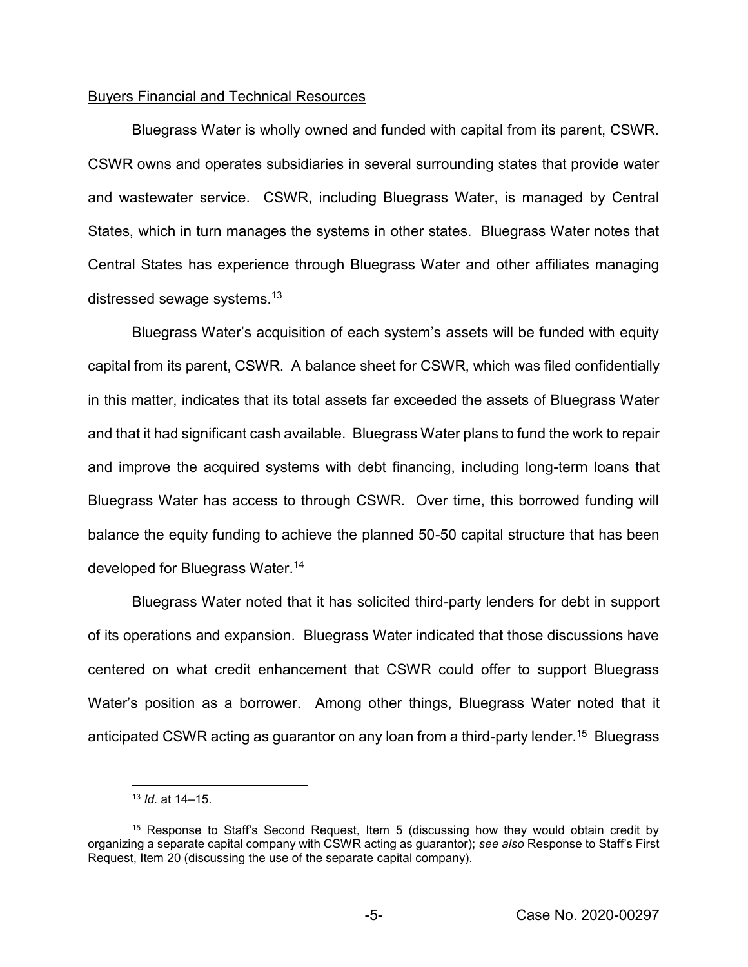# Buyers Financial and Technical Resources

Bluegrass Water is wholly owned and funded with capital from its parent, CSWR. CSWR owns and operates subsidiaries in several surrounding states that provide water and wastewater service. CSWR, including Bluegrass Water, is managed by Central States, which in turn manages the systems in other states. Bluegrass Water notes that Central States has experience through Bluegrass Water and other affiliates managing distressed sewage systems.13

Bluegrass Water's acquisition of each system's assets will be funded with equity capital from its parent, CSWR. A balance sheet for CSWR, which was filed confidentially in this matter, indicates that its total assets far exceeded the assets of Bluegrass Water and that it had significant cash available. Bluegrass Water plans to fund the work to repair and improve the acquired systems with debt financing, including long-term loans that Bluegrass Water has access to through CSWR. Over time, this borrowed funding will balance the equity funding to achieve the planned 50-50 capital structure that has been developed for Bluegrass Water.14

Bluegrass Water noted that it has solicited third-party lenders for debt in support of its operations and expansion. Bluegrass Water indicated that those discussions have centered on what credit enhancement that CSWR could offer to support Bluegrass Water's position as a borrower. Among other things, Bluegrass Water noted that it anticipated CSWR acting as guarantor on any loan from a third-party lender.<sup>15</sup> Bluegrass

 <sup>13</sup> *Id.* at 14–15.

<sup>15</sup> Response to Staff's Second Request, Item 5 (discussing how they would obtain credit by organizing a separate capital company with CSWR acting as guarantor); *see also* Response to Staff's First Request, Item 20 (discussing the use of the separate capital company).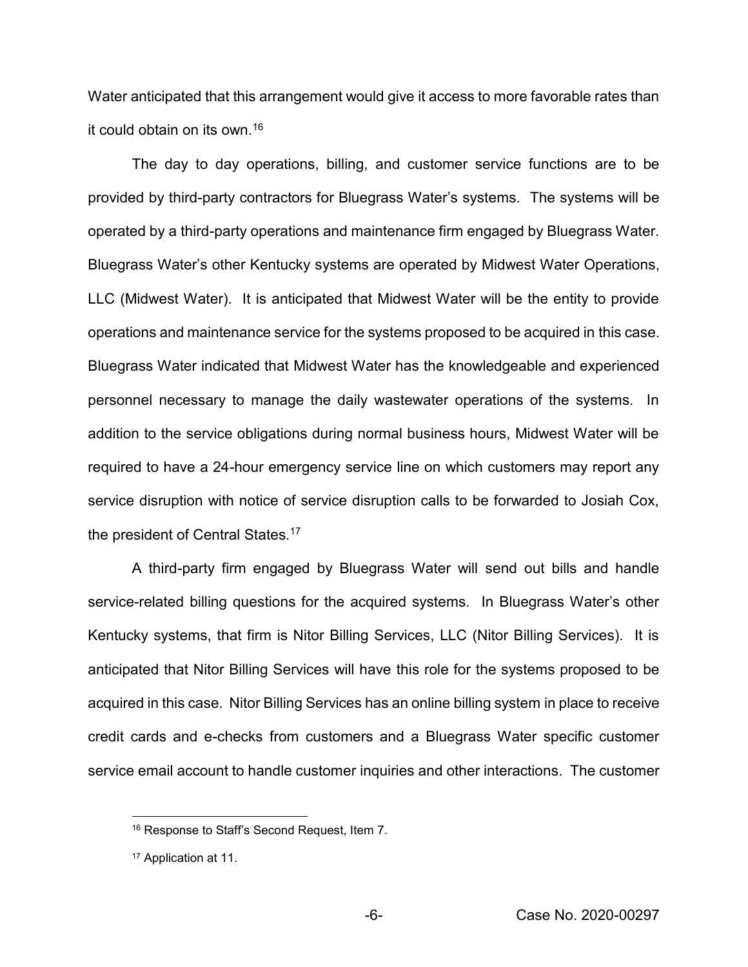Water anticipated that this arrangement would give it access to more favorable rates than it could obtain on its own.16

The day to day operations, billing, and customer service functions are to be provided by third-party contractors for Bluegrass Water's systems. The systems will be operated by a third-party operations and maintenance firm engaged by Bluegrass Water. Bluegrass Water's other Kentucky systems are operated by Midwest Water Operations, LLC (Midwest Water). It is anticipated that Midwest Water will be the entity to provide operations and maintenance service for the systems proposed to be acquired in this case. Bluegrass Water indicated that Midwest Water has the knowledgeable and experienced personnel necessary to manage the daily wastewater operations of the systems. In addition to the service obligations during normal business hours, Midwest Water will be required to have a 24-hour emergency service line on which customers may report any service disruption with notice of service disruption calls to be forwarded to Josiah Cox, the president of Central States.<sup>17</sup>

A third-party firm engaged by Bluegrass Water will send out bills and handle service-related billing questions for the acquired systems. In Bluegrass Water's other Kentucky systems, that firm is Nitor Billing Services, LLC (Nitor Billing Services). It is anticipated that Nitor Billing Services will have this role for the systems proposed to be acquired in this case. Nitor Billing Services has an online billing system in place to receive credit cards and e-checks from customers and a Bluegrass Water specific customer service email account to handle customer inquiries and other interactions. The customer

 <sup>16</sup> Response to Staff's Second Request, Item 7.

<sup>17</sup> Application at 11.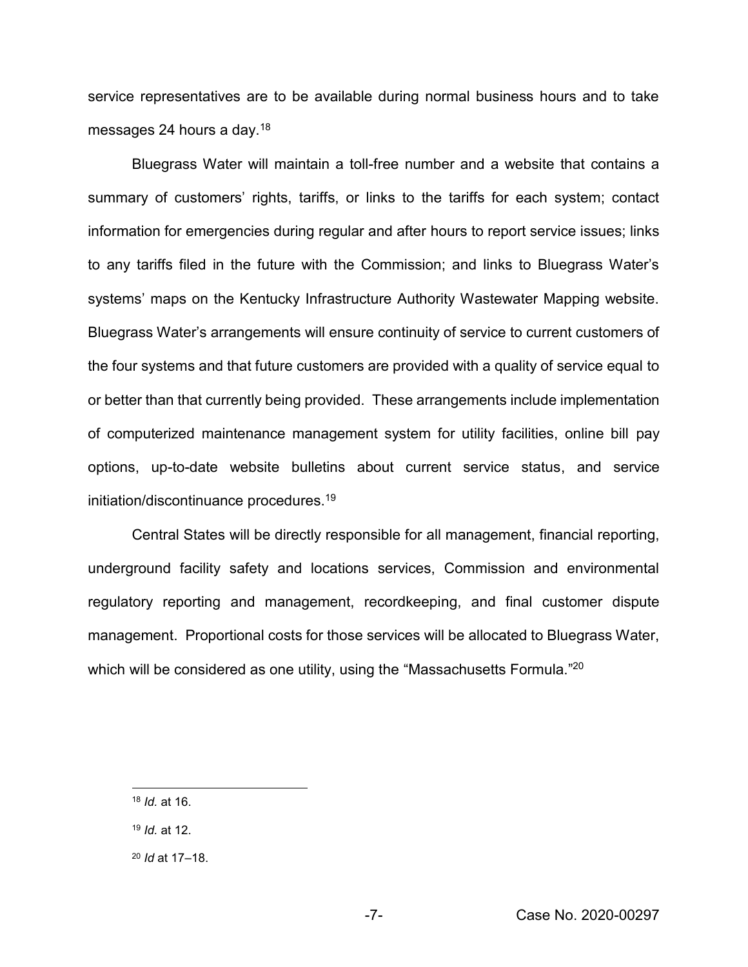service representatives are to be available during normal business hours and to take messages 24 hours a day.18

Bluegrass Water will maintain a toll-free number and a website that contains a summary of customers' rights, tariffs, or links to the tariffs for each system; contact information for emergencies during regular and after hours to report service issues; links to any tariffs filed in the future with the Commission; and links to Bluegrass Water's systems' maps on the Kentucky Infrastructure Authority Wastewater Mapping website. Bluegrass Water's arrangements will ensure continuity of service to current customers of the four systems and that future customers are provided with a quality of service equal to or better than that currently being provided. These arrangements include implementation of computerized maintenance management system for utility facilities, online bill pay options, up-to-date website bulletins about current service status, and service initiation/discontinuance procedures.19

Central States will be directly responsible for all management, financial reporting, underground facility safety and locations services, Commission and environmental regulatory reporting and management, recordkeeping, and final customer dispute management. Proportional costs for those services will be allocated to Bluegrass Water, which will be considered as one utility, using the "Massachusetts Formula."<sup>20</sup>

 <sup>18</sup> *Id.* at 16.

<sup>19</sup> *Id.* at 12.

<sup>20</sup> *Id* at 17–18.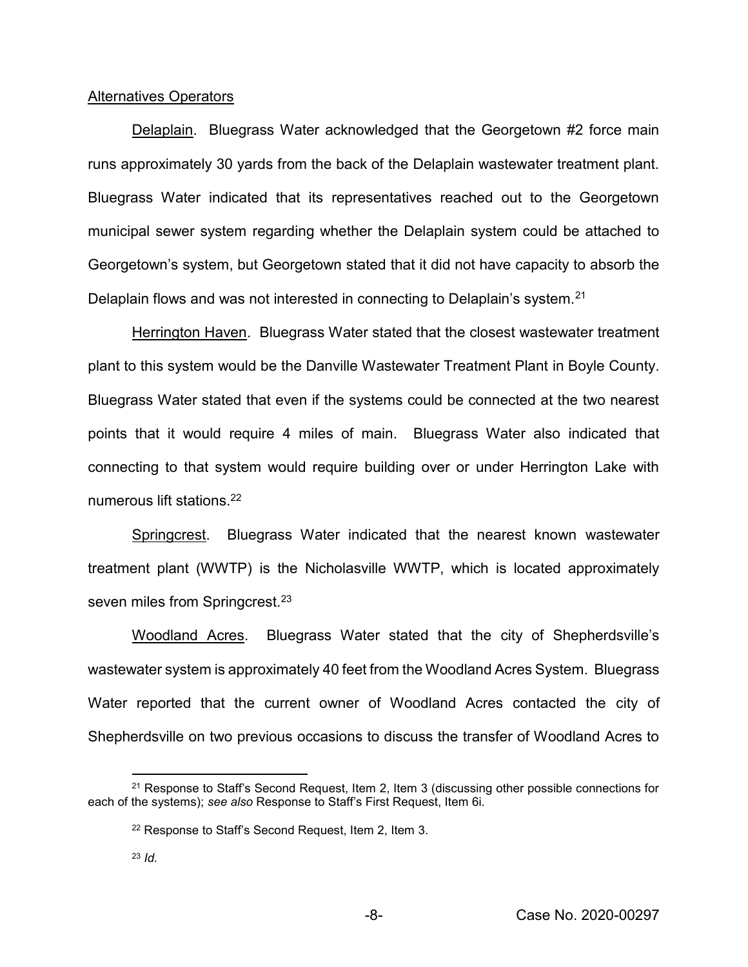## Alternatives Operators

Delaplain. Bluegrass Water acknowledged that the Georgetown #2 force main runs approximately 30 yards from the back of the Delaplain wastewater treatment plant. Bluegrass Water indicated that its representatives reached out to the Georgetown municipal sewer system regarding whether the Delaplain system could be attached to Georgetown's system, but Georgetown stated that it did not have capacity to absorb the Delaplain flows and was not interested in connecting to Delaplain's system.<sup>21</sup>

Herrington Haven. Bluegrass Water stated that the closest wastewater treatment plant to this system would be the Danville Wastewater Treatment Plant in Boyle County. Bluegrass Water stated that even if the systems could be connected at the two nearest points that it would require 4 miles of main. Bluegrass Water also indicated that connecting to that system would require building over or under Herrington Lake with numerous lift stations.22

Springcrest. Bluegrass Water indicated that the nearest known wastewater treatment plant (WWTP) is the Nicholasville WWTP, which is located approximately seven miles from Springcrest.<sup>23</sup>

Woodland Acres. Bluegrass Water stated that the city of Shepherdsville's wastewater system is approximately 40 feet from the Woodland Acres System. Bluegrass Water reported that the current owner of Woodland Acres contacted the city of Shepherdsville on two previous occasions to discuss the transfer of Woodland Acres to

<sup>&</sup>lt;sup>21</sup> Response to Staff's Second Request, Item 2, Item 3 (discussing other possible connections for each of the systems); *see also* Response to Staff's First Request, Item 6i.

<sup>22</sup> Response to Staff's Second Request, Item 2, Item 3.

<sup>23</sup> *Id.*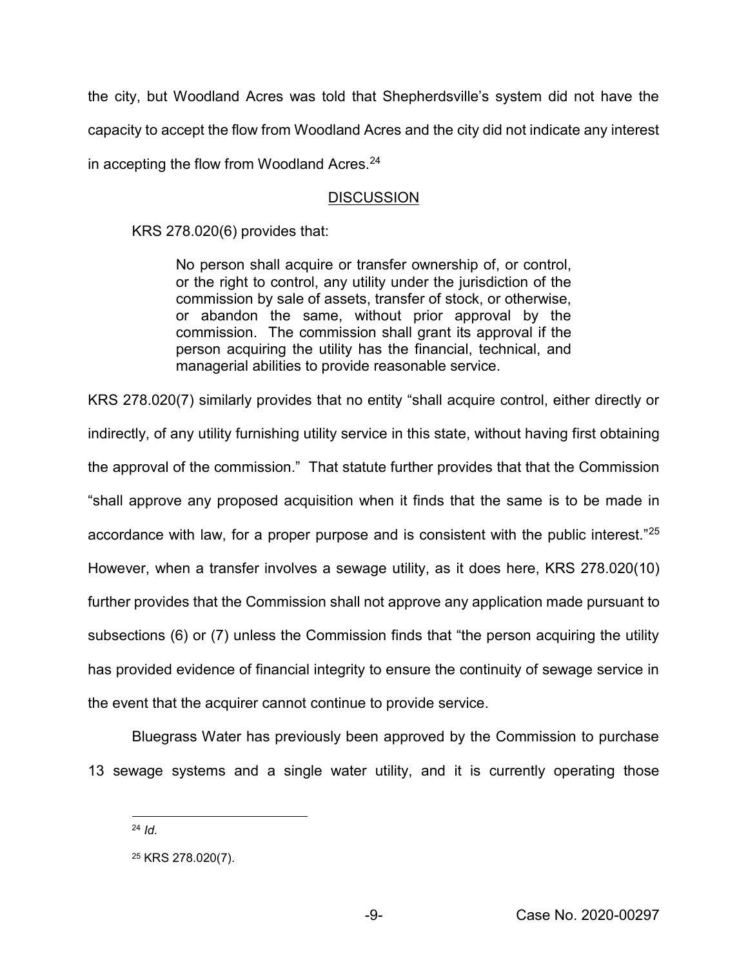the city, but Woodland Acres was told that Shepherdsville's system did not have the capacity to accept the flow from Woodland Acres and the city did not indicate any interest in accepting the flow from Woodland Acres.<sup>24</sup>

# **DISCUSSION**

KRS 278.020(6) provides that:

No person shall acquire or transfer ownership of, or control, or the right to control, any utility under the jurisdiction of the commission by sale of assets, transfer of stock, or otherwise, or abandon the same, without prior approval by the commission. The commission shall grant its approval if the person acquiring the utility has the financial, technical, and managerial abilities to provide reasonable service.

KRS 278.020(7) similarly provides that no entity "shall acquire control, either directly or indirectly, of any utility furnishing utility service in this state, without having first obtaining the approval of the commission." That statute further provides that that the Commission "shall approve any proposed acquisition when it finds that the same is to be made in accordance with law, for a proper purpose and is consistent with the public interest."<sup>25</sup> However, when a transfer involves a sewage utility, as it does here, KRS 278.020(10) further provides that the Commission shall not approve any application made pursuant to subsections (6) or (7) unless the Commission finds that "the person acquiring the utility has provided evidence of financial integrity to ensure the continuity of sewage service in the event that the acquirer cannot continue to provide service.

Bluegrass Water has previously been approved by the Commission to purchase 13 sewage systems and a single water utility, and it is currently operating those

 <sup>24</sup> *Id.*

<sup>25</sup> KRS 278.020(7).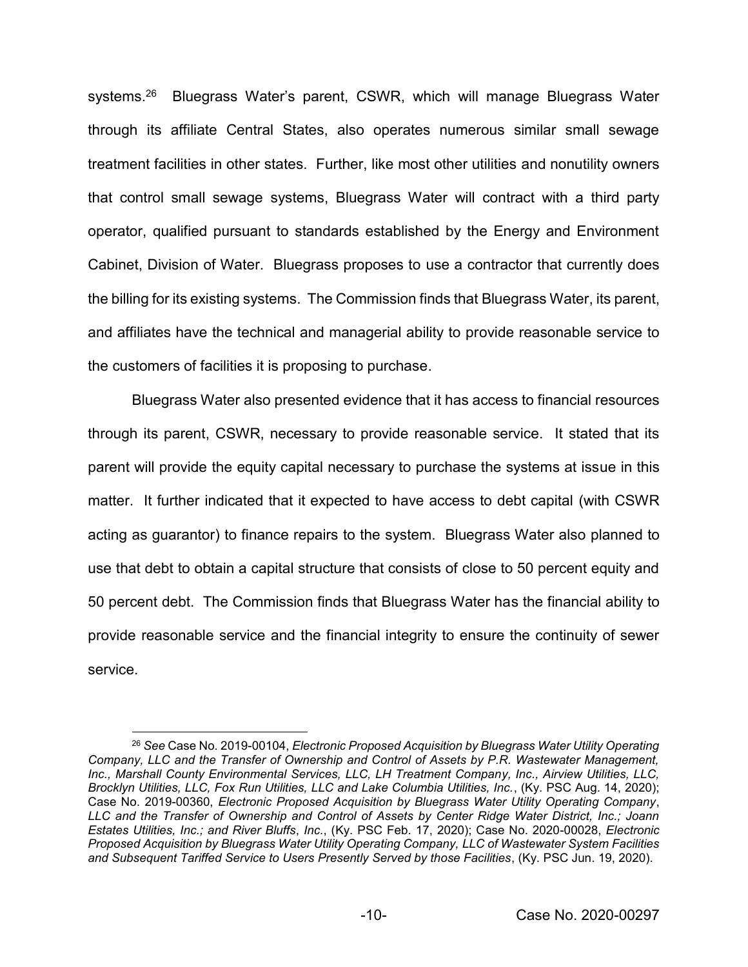systems.<sup>26</sup> Bluegrass Water's parent, CSWR, which will manage Bluegrass Water through its affiliate Central States, also operates numerous similar small sewage treatment facilities in other states. Further, like most other utilities and nonutility owners that control small sewage systems, Bluegrass Water will contract with a third party operator, qualified pursuant to standards established by the Energy and Environment Cabinet, Division of Water. Bluegrass proposes to use a contractor that currently does the billing for its existing systems. The Commission finds that Bluegrass Water, its parent, and affiliates have the technical and managerial ability to provide reasonable service to the customers of facilities it is proposing to purchase.

Bluegrass Water also presented evidence that it has access to financial resources through its parent, CSWR, necessary to provide reasonable service. It stated that its parent will provide the equity capital necessary to purchase the systems at issue in this matter. It further indicated that it expected to have access to debt capital (with CSWR acting as guarantor) to finance repairs to the system. Bluegrass Water also planned to use that debt to obtain a capital structure that consists of close to 50 percent equity and 50 percent debt. The Commission finds that Bluegrass Water has the financial ability to provide reasonable service and the financial integrity to ensure the continuity of sewer service.

 <sup>26</sup> *See* Case No. 2019-00104, *Electronic Proposed Acquisition by Bluegrass Water Utility Operating Company, LLC and the Transfer of Ownership and Control of Assets by P.R. Wastewater Management, Inc., Marshall County Environmental Services, LLC, LH Treatment Company, Inc., Airview Utilities, LLC, Brocklyn Utilities, LLC, Fox Run Utilities, LLC and Lake Columbia Utilities, Inc.*, (Ky. PSC Aug. 14, 2020); Case No. 2019-00360, *Electronic Proposed Acquisition by Bluegrass Water Utility Operating Company*, *LLC and the Transfer of Ownership and Control of Assets by Center Ridge Water District, Inc.; Joann Estates Utilities, Inc.; and River Bluffs*, *Inc.*, (Ky. PSC Feb. 17, 2020); Case No. 2020-00028, *Electronic Proposed Acquisition by Bluegrass Water Utility Operating Company, LLC of Wastewater System Facilities and Subsequent Tariffed Service to Users Presently Served by those Facilities*, (Ky. PSC Jun. 19, 2020).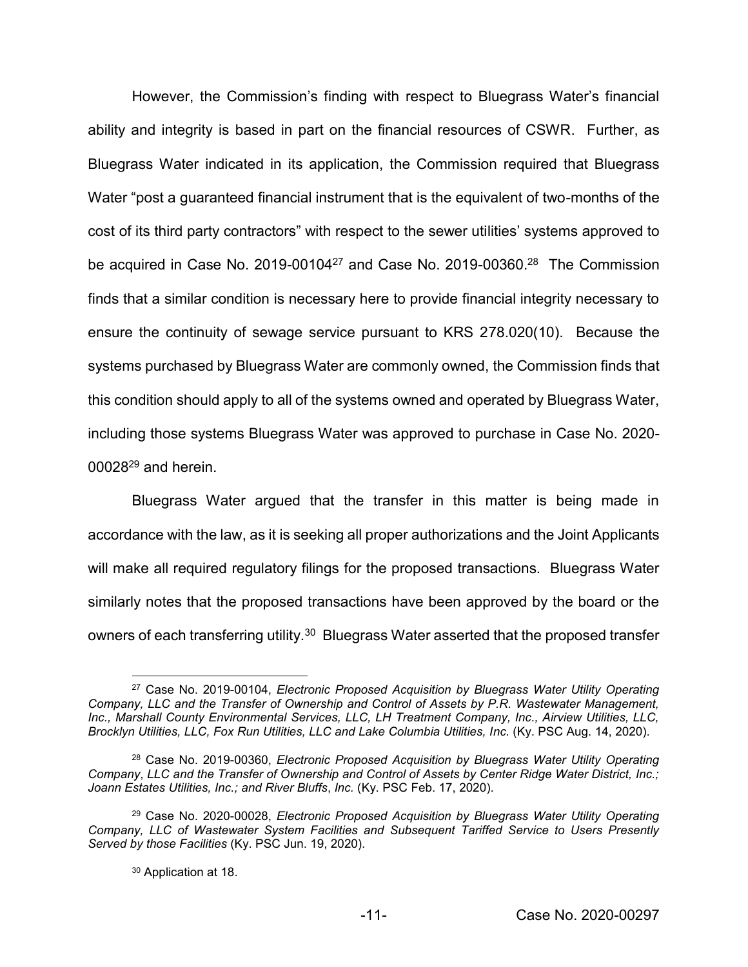However, the Commission's finding with respect to Bluegrass Water's financial ability and integrity is based in part on the financial resources of CSWR. Further, as Bluegrass Water indicated in its application, the Commission required that Bluegrass Water "post a guaranteed financial instrument that is the equivalent of two-months of the cost of its third party contractors" with respect to the sewer utilities' systems approved to be acquired in Case No. 2019-00104<sup>27</sup> and Case No. 2019-00360.<sup>28</sup> The Commission finds that a similar condition is necessary here to provide financial integrity necessary to ensure the continuity of sewage service pursuant to KRS 278.020(10). Because the systems purchased by Bluegrass Water are commonly owned, the Commission finds that this condition should apply to all of the systems owned and operated by Bluegrass Water, including those systems Bluegrass Water was approved to purchase in Case No. 2020- 0002829 and herein.

Bluegrass Water argued that the transfer in this matter is being made in accordance with the law, as it is seeking all proper authorizations and the Joint Applicants will make all required regulatory filings for the proposed transactions. Bluegrass Water similarly notes that the proposed transactions have been approved by the board or the owners of each transferring utility.<sup>30</sup> Bluegrass Water asserted that the proposed transfer

 <sup>27</sup> Case No. 2019-00104, *Electronic Proposed Acquisition by Bluegrass Water Utility Operating Company, LLC and the Transfer of Ownership and Control of Assets by P.R. Wastewater Management, Inc., Marshall County Environmental Services, LLC, LH Treatment Company, Inc., Airview Utilities, LLC, Brocklyn Utilities, LLC, Fox Run Utilities, LLC and Lake Columbia Utilities, Inc.* (Ky. PSC Aug. 14, 2020).

<sup>28</sup> Case No. 2019-00360, *Electronic Proposed Acquisition by Bluegrass Water Utility Operating Company*, *LLC and the Transfer of Ownership and Control of Assets by Center Ridge Water District, Inc.; Joann Estates Utilities, Inc.; and River Bluffs*, *Inc.* (Ky. PSC Feb. 17, 2020).

<sup>29</sup> Case No. 2020-00028, *Electronic Proposed Acquisition by Bluegrass Water Utility Operating Company, LLC of Wastewater System Facilities and Subsequent Tariffed Service to Users Presently Served by those Facilities* (Ky. PSC Jun. 19, 2020).

<sup>30</sup> Application at 18.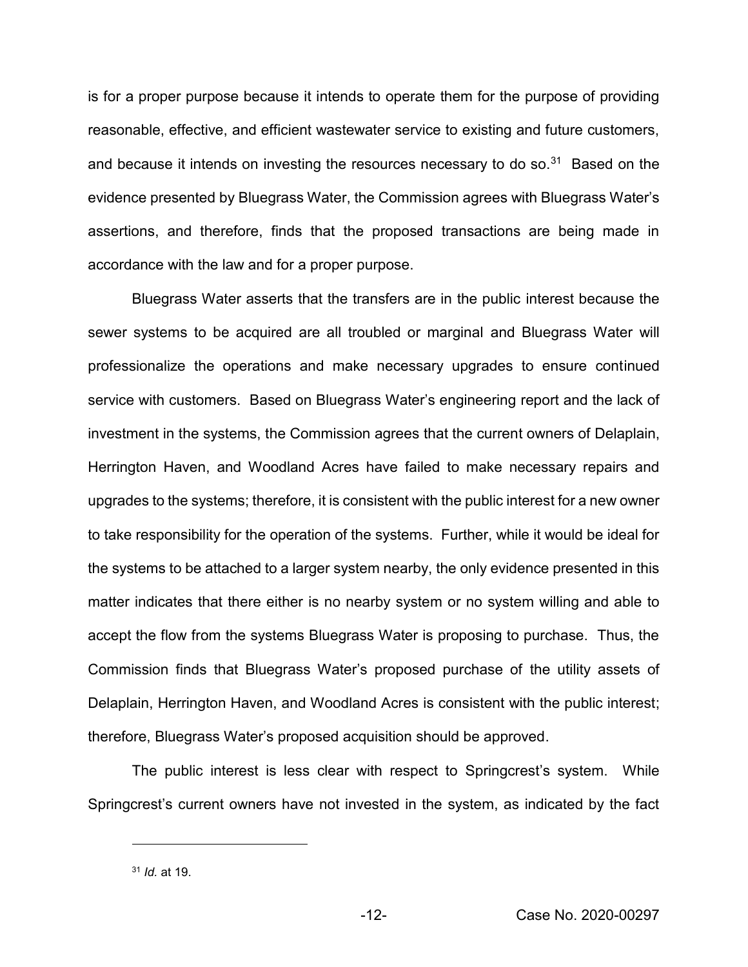is for a proper purpose because it intends to operate them for the purpose of providing reasonable, effective, and efficient wastewater service to existing and future customers, and because it intends on investing the resources necessary to do so.<sup>31</sup> Based on the evidence presented by Bluegrass Water, the Commission agrees with Bluegrass Water's assertions, and therefore, finds that the proposed transactions are being made in accordance with the law and for a proper purpose.

Bluegrass Water asserts that the transfers are in the public interest because the sewer systems to be acquired are all troubled or marginal and Bluegrass Water will professionalize the operations and make necessary upgrades to ensure continued service with customers. Based on Bluegrass Water's engineering report and the lack of investment in the systems, the Commission agrees that the current owners of Delaplain, Herrington Haven, and Woodland Acres have failed to make necessary repairs and upgrades to the systems; therefore, it is consistent with the public interest for a new owner to take responsibility for the operation of the systems. Further, while it would be ideal for the systems to be attached to a larger system nearby, the only evidence presented in this matter indicates that there either is no nearby system or no system willing and able to accept the flow from the systems Bluegrass Water is proposing to purchase. Thus, the Commission finds that Bluegrass Water's proposed purchase of the utility assets of Delaplain, Herrington Haven, and Woodland Acres is consistent with the public interest; therefore, Bluegrass Water's proposed acquisition should be approved.

The public interest is less clear with respect to Springcrest's system. While Springcrest's current owners have not invested in the system, as indicated by the fact

 $\overline{a}$ 

<sup>31</sup> *Id.* at 19.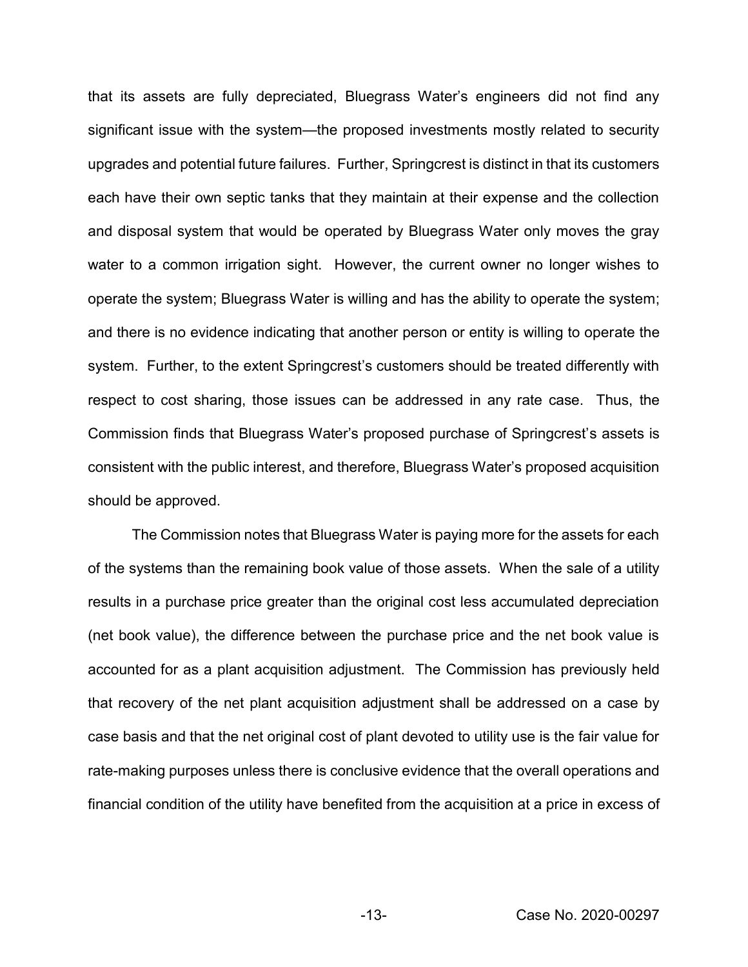that its assets are fully depreciated, Bluegrass Water's engineers did not find any significant issue with the system—the proposed investments mostly related to security upgrades and potential future failures. Further, Springcrest is distinct in that its customers each have their own septic tanks that they maintain at their expense and the collection and disposal system that would be operated by Bluegrass Water only moves the gray water to a common irrigation sight. However, the current owner no longer wishes to operate the system; Bluegrass Water is willing and has the ability to operate the system; and there is no evidence indicating that another person or entity is willing to operate the system. Further, to the extent Springcrest's customers should be treated differently with respect to cost sharing, those issues can be addressed in any rate case. Thus, the Commission finds that Bluegrass Water's proposed purchase of Springcrest's assets is consistent with the public interest, and therefore, Bluegrass Water's proposed acquisition should be approved.

The Commission notes that Bluegrass Water is paying more for the assets for each of the systems than the remaining book value of those assets. When the sale of a utility results in a purchase price greater than the original cost less accumulated depreciation (net book value), the difference between the purchase price and the net book value is accounted for as a plant acquisition adjustment. The Commission has previously held that recovery of the net plant acquisition adjustment shall be addressed on a case by case basis and that the net original cost of plant devoted to utility use is the fair value for rate-making purposes unless there is conclusive evidence that the overall operations and financial condition of the utility have benefited from the acquisition at a price in excess of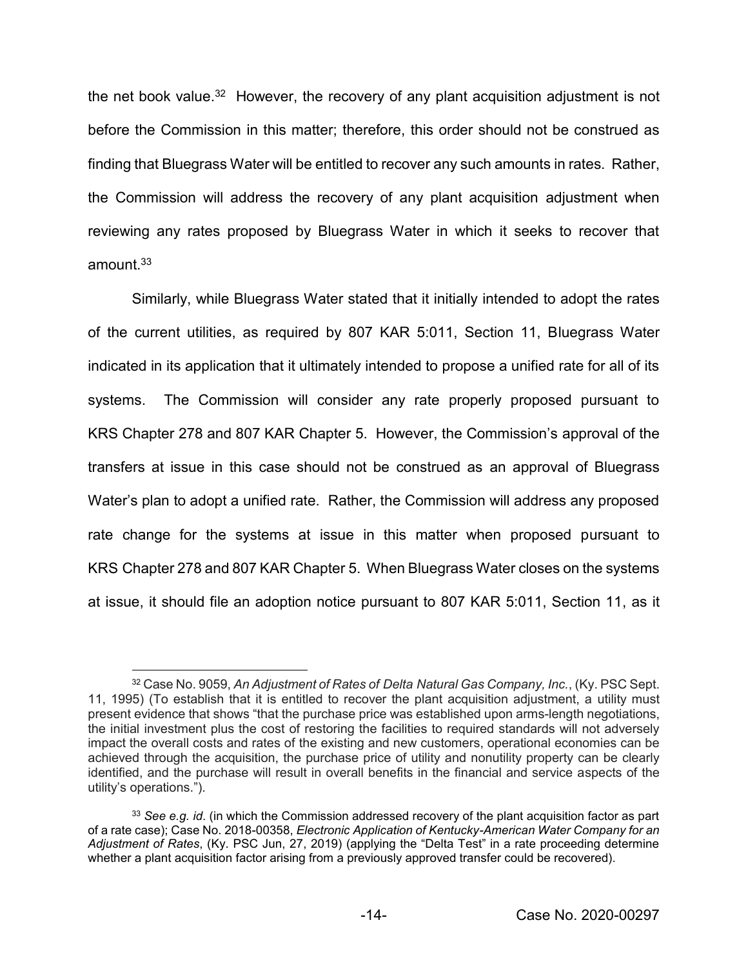the net book value.<sup>32</sup> However, the recovery of any plant acquisition adjustment is not before the Commission in this matter; therefore, this order should not be construed as finding that Bluegrass Water will be entitled to recover any such amounts in rates. Rather, the Commission will address the recovery of any plant acquisition adjustment when reviewing any rates proposed by Bluegrass Water in which it seeks to recover that amount.33

Similarly, while Bluegrass Water stated that it initially intended to adopt the rates of the current utilities, as required by 807 KAR 5:011, Section 11, Bluegrass Water indicated in its application that it ultimately intended to propose a unified rate for all of its systems. The Commission will consider any rate properly proposed pursuant to KRS Chapter 278 and 807 KAR Chapter 5. However, the Commission's approval of the transfers at issue in this case should not be construed as an approval of Bluegrass Water's plan to adopt a unified rate. Rather, the Commission will address any proposed rate change for the systems at issue in this matter when proposed pursuant to KRS Chapter 278 and 807 KAR Chapter 5. When Bluegrass Water closes on the systems at issue, it should file an adoption notice pursuant to 807 KAR 5:011, Section 11, as it

 <sup>32</sup> Case No. 9059, *An Adjustment of Rates of Delta Natural Gas Company, Inc.*, (Ky. PSC Sept. 11, 1995) (To establish that it is entitled to recover the plant acquisition adjustment, a utility must present evidence that shows "that the purchase price was established upon arms-length negotiations, the initial investment plus the cost of restoring the facilities to required standards will not adversely impact the overall costs and rates of the existing and new customers, operational economies can be achieved through the acquisition, the purchase price of utility and nonutility property can be clearly identified, and the purchase will result in overall benefits in the financial and service aspects of the utility's operations.").

<sup>33</sup> *See e.g. id*. (in which the Commission addressed recovery of the plant acquisition factor as part of a rate case); Case No. 2018-00358, *Electronic Application of Kentucky-American Water Company for an Adjustment of Rates*, (Ky. PSC Jun, 27, 2019) (applying the "Delta Test" in a rate proceeding determine whether a plant acquisition factor arising from a previously approved transfer could be recovered).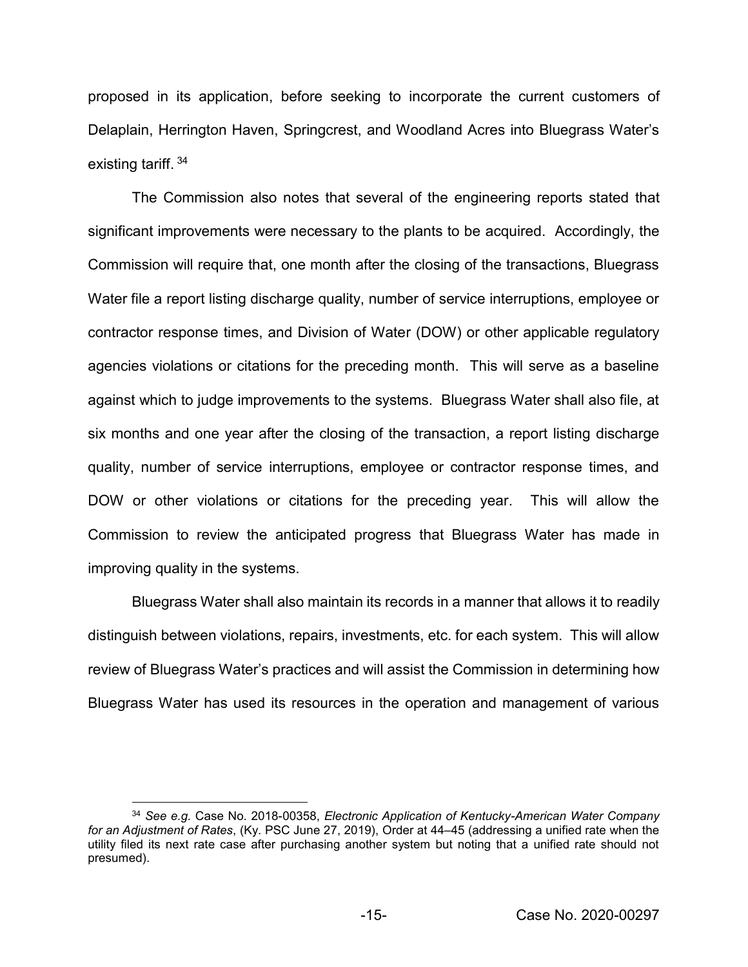proposed in its application, before seeking to incorporate the current customers of Delaplain, Herrington Haven, Springcrest, and Woodland Acres into Bluegrass Water's existing tariff. <sup>34</sup>

The Commission also notes that several of the engineering reports stated that significant improvements were necessary to the plants to be acquired. Accordingly, the Commission will require that, one month after the closing of the transactions, Bluegrass Water file a report listing discharge quality, number of service interruptions, employee or contractor response times, and Division of Water (DOW) or other applicable regulatory agencies violations or citations for the preceding month. This will serve as a baseline against which to judge improvements to the systems. Bluegrass Water shall also file, at six months and one year after the closing of the transaction, a report listing discharge quality, number of service interruptions, employee or contractor response times, and DOW or other violations or citations for the preceding year. This will allow the Commission to review the anticipated progress that Bluegrass Water has made in improving quality in the systems.

Bluegrass Water shall also maintain its records in a manner that allows it to readily distinguish between violations, repairs, investments, etc. for each system. This will allow review of Bluegrass Water's practices and will assist the Commission in determining how Bluegrass Water has used its resources in the operation and management of various

 <sup>34</sup> *See e.g.* Case No. 2018-00358, *Electronic Application of Kentucky-American Water Company for an Adjustment of Rates*, (Ky. PSC June 27, 2019), Order at 44–45 (addressing a unified rate when the utility filed its next rate case after purchasing another system but noting that a unified rate should not presumed).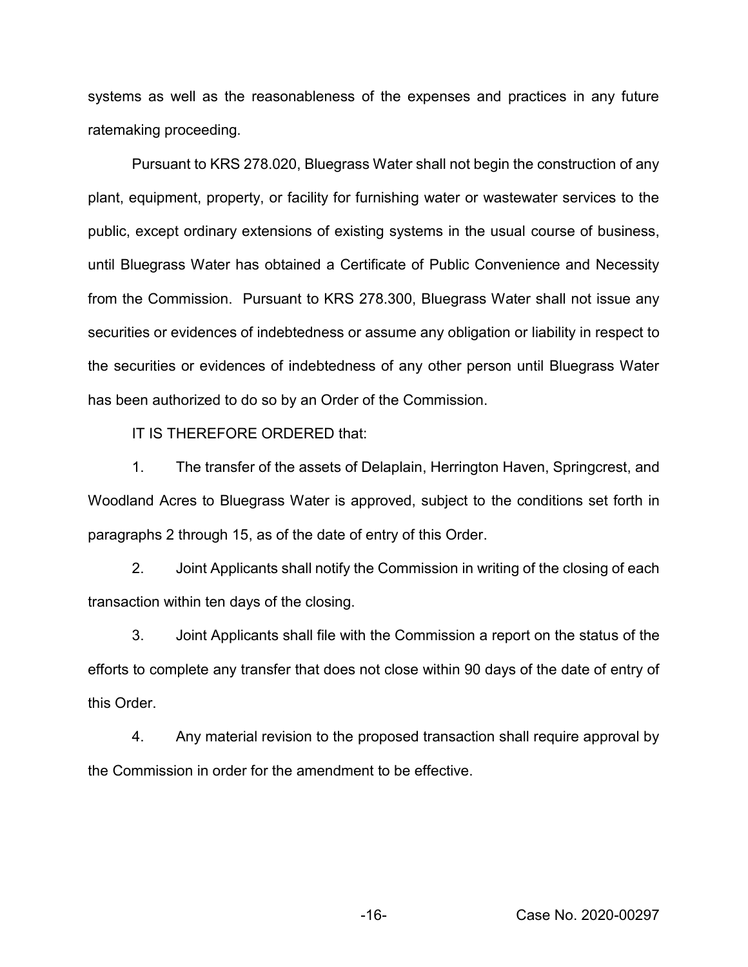systems as well as the reasonableness of the expenses and practices in any future ratemaking proceeding.

Pursuant to KRS 278.020, Bluegrass Water shall not begin the construction of any plant, equipment, property, or facility for furnishing water or wastewater services to the public, except ordinary extensions of existing systems in the usual course of business, until Bluegrass Water has obtained a Certificate of Public Convenience and Necessity from the Commission. Pursuant to KRS 278.300, Bluegrass Water shall not issue any securities or evidences of indebtedness or assume any obligation or liability in respect to the securities or evidences of indebtedness of any other person until Bluegrass Water has been authorized to do so by an Order of the Commission.

IT IS THEREFORE ORDERED that:

1. The transfer of the assets of Delaplain, Herrington Haven, Springcrest, and Woodland Acres to Bluegrass Water is approved, subject to the conditions set forth in paragraphs 2 through 15, as of the date of entry of this Order.

2. Joint Applicants shall notify the Commission in writing of the closing of each transaction within ten days of the closing.

3. Joint Applicants shall file with the Commission a report on the status of the efforts to complete any transfer that does not close within 90 days of the date of entry of this Order.

4. Any material revision to the proposed transaction shall require approval by the Commission in order for the amendment to be effective.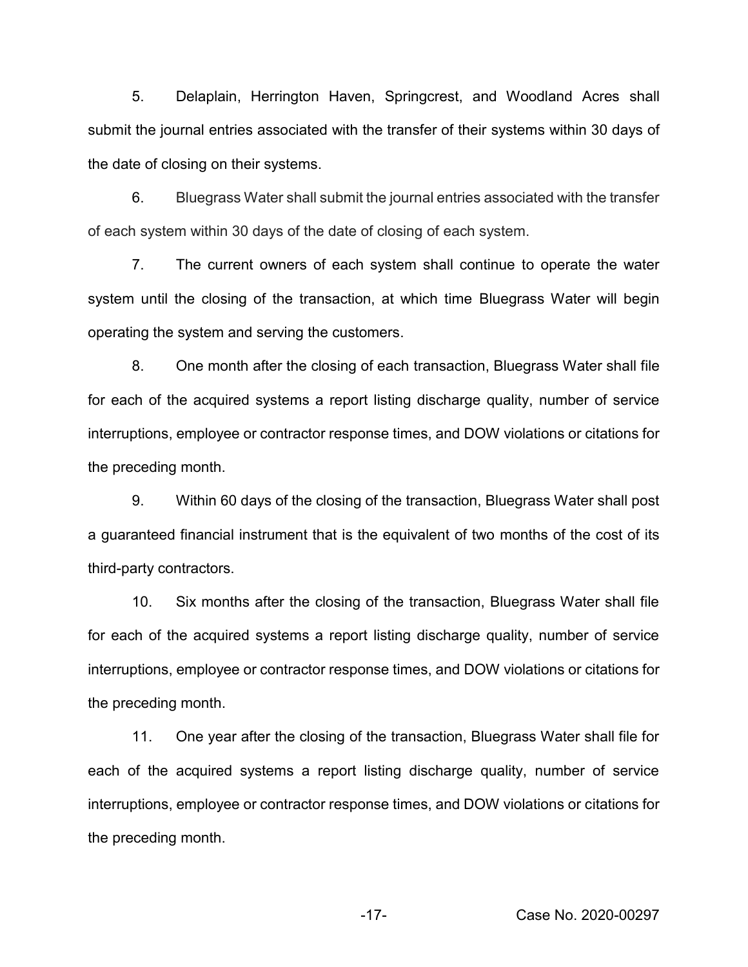5. Delaplain, Herrington Haven, Springcrest, and Woodland Acres shall submit the journal entries associated with the transfer of their systems within 30 days of the date of closing on their systems.

6. Bluegrass Water shall submit the journal entries associated with the transfer of each system within 30 days of the date of closing of each system.

7. The current owners of each system shall continue to operate the water system until the closing of the transaction, at which time Bluegrass Water will begin operating the system and serving the customers.

8. One month after the closing of each transaction, Bluegrass Water shall file for each of the acquired systems a report listing discharge quality, number of service interruptions, employee or contractor response times, and DOW violations or citations for the preceding month.

9. Within 60 days of the closing of the transaction, Bluegrass Water shall post a guaranteed financial instrument that is the equivalent of two months of the cost of its third-party contractors.

10. Six months after the closing of the transaction, Bluegrass Water shall file for each of the acquired systems a report listing discharge quality, number of service interruptions, employee or contractor response times, and DOW violations or citations for the preceding month.

11. One year after the closing of the transaction, Bluegrass Water shall file for each of the acquired systems a report listing discharge quality, number of service interruptions, employee or contractor response times, and DOW violations or citations for the preceding month.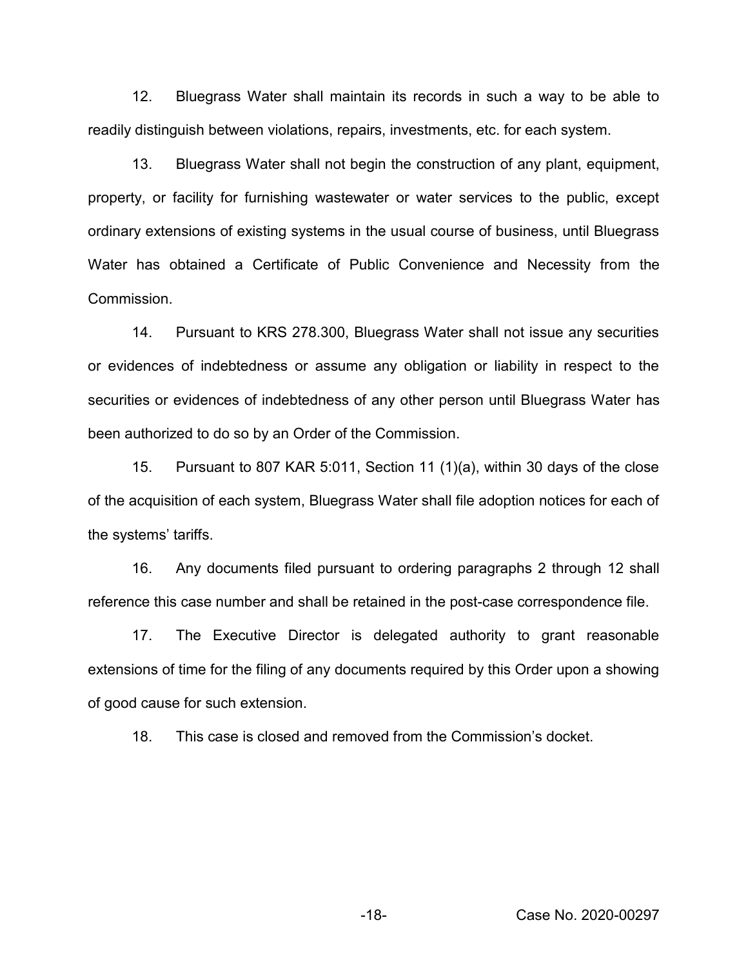12. Bluegrass Water shall maintain its records in such a way to be able to readily distinguish between violations, repairs, investments, etc. for each system.

13. Bluegrass Water shall not begin the construction of any plant, equipment, property, or facility for furnishing wastewater or water services to the public, except ordinary extensions of existing systems in the usual course of business, until Bluegrass Water has obtained a Certificate of Public Convenience and Necessity from the Commission.

14. Pursuant to KRS 278.300, Bluegrass Water shall not issue any securities or evidences of indebtedness or assume any obligation or liability in respect to the securities or evidences of indebtedness of any other person until Bluegrass Water has been authorized to do so by an Order of the Commission.

15. Pursuant to 807 KAR 5:011, Section 11 (1)(a), within 30 days of the close of the acquisition of each system, Bluegrass Water shall file adoption notices for each of the systems' tariffs.

16. Any documents filed pursuant to ordering paragraphs 2 through 12 shall reference this case number and shall be retained in the post-case correspondence file.

17. The Executive Director is delegated authority to grant reasonable extensions of time for the filing of any documents required by this Order upon a showing of good cause for such extension.

18. This case is closed and removed from the Commission's docket.

-18- Case No. 2020-00297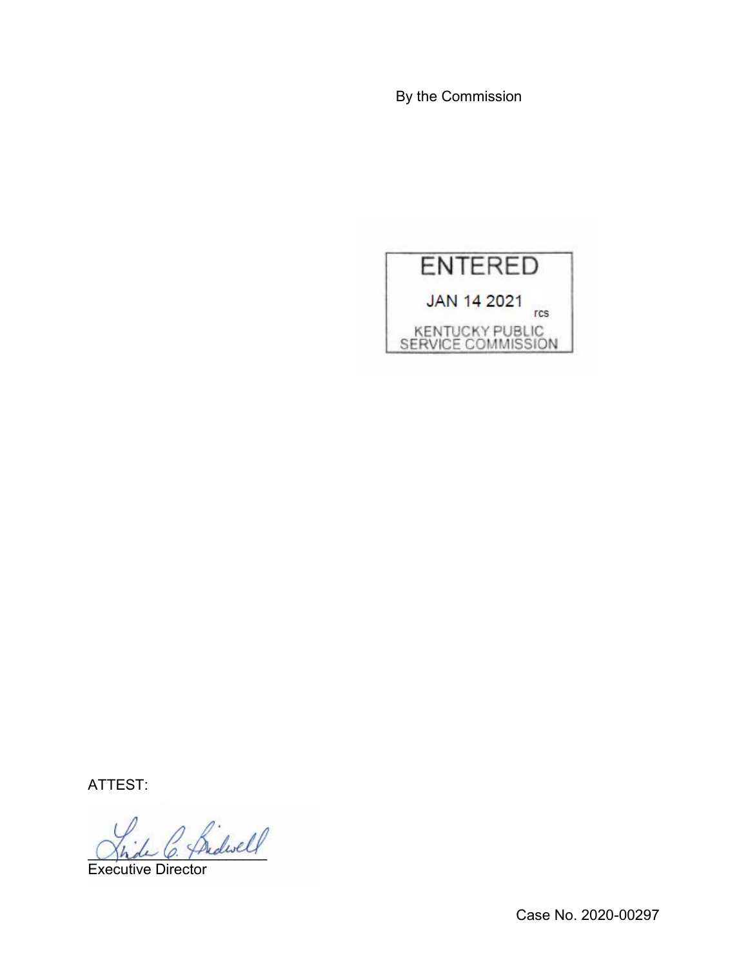By the Commission



ATTEST:

\_\_\_\_\_\_\_\_\_\_\_\_\_\_\_\_\_\_\_\_\_\_

Executive Director

Case No. 2020-00297